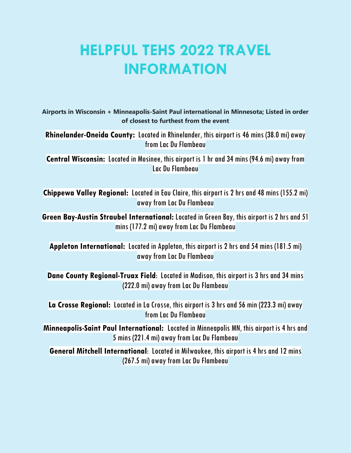## **HELPFUL TEHS 2022 TRAVEL INFORMATION**

**Airports in Wisconsin + Minneapolis-Saint Paul international in Minnesota; Listed in order of closest to furthest from the event**

**Rhinelander-Oneida County:** Located in Rhinelander, this airport is 46 mins (38.0 mi) away from Lac Du Flambeau

**Central Wisconsin:** Located in Mosinee, this airport is 1 hr and 34 mins (94.6 mi) away from Lac Du Flambeau

**Chippewa Valley Regional:** Located in Eau Claire, this airport is 2 hrs and 48 mins (155.2 mi) away from Lac Du Flambeau

**Green Bay-Austin Straubel International:** Located in Green Bay, this airport is 2 hrs and 51 mins (177.2 mi) away from Lac Du Flambeau

**Appleton International:** Located in Appleton, this airport is 2 hrs and 54 mins (181.5 mi) away from Lac Du Flambeau

**Dane County Regional-Truax Field**: Located in Madison, this airport is 3 hrs and 34 mins (222.0 mi) away from Lac Du Flambeau

**La Crosse Regional:** Located in La Crosse, this airport is 3 hrs and 56 min (223.3 mi) away from Lac Du Flambeau

**Minneapolis-Saint Paul International:** Located in Minneapolis MN, this airport is 4 hrs and 5 mins (221.4 mi)away from Lac Du Flambeau

**General Mitchell International**: Located in Milwaukee, this airport is 4 hrs and 12 mins (267.5 mi) away from Lac Du Flambeau